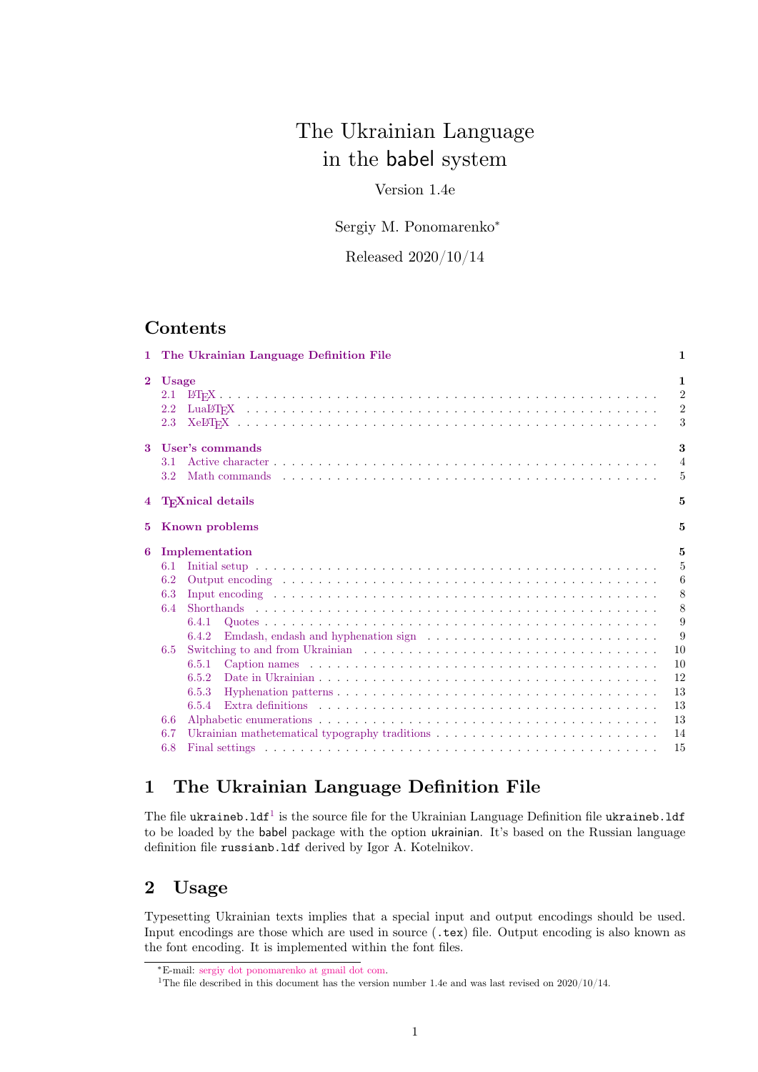# The Ukrainian Language in the babel system

## Version 1.4e

### Sergiy M. Ponomarenko<sup>∗</sup>

Released 2020/10/14

## **Contents**

|                | 1 The Ukrainian Language Definition File                                                                                                                                                                                                                                                                                                                                                                                                          | 1                                                                                |
|----------------|---------------------------------------------------------------------------------------------------------------------------------------------------------------------------------------------------------------------------------------------------------------------------------------------------------------------------------------------------------------------------------------------------------------------------------------------------|----------------------------------------------------------------------------------|
| $\overline{2}$ | <b>Usage</b><br>2.1<br>2.2<br>2.3                                                                                                                                                                                                                                                                                                                                                                                                                 | $\mathbf{1}$<br>$\overline{2}$<br>$\overline{2}$<br>3                            |
| $\bf{3}$       | User's commands<br>3.1<br>$3.2\,$                                                                                                                                                                                                                                                                                                                                                                                                                 | 3<br>$\overline{4}$<br>5                                                         |
|                | 4 TrXnical details                                                                                                                                                                                                                                                                                                                                                                                                                                | 5                                                                                |
|                | 5 Known problems                                                                                                                                                                                                                                                                                                                                                                                                                                  | 5                                                                                |
| 6              | Implementation<br>6.1<br>6.2<br>6.3<br>6.4<br>6.4.1<br>Emdash, endash and hyphenation sign $\ldots \ldots \ldots \ldots \ldots \ldots \ldots \ldots$<br>6.4.2<br>6.5<br>6.5.1<br>6.5.2<br>6.5.3<br>Extra definitions experience in the contract of the contract of the contract of the contract of the contract of the contract of the contract of the contract of the contract of the contract of the contract of the contract o<br>6.5.4<br>6.6 | 5<br>$\overline{5}$<br>6<br>8<br>8<br>9<br>9<br>10<br>10<br>12<br>13<br>13<br>13 |
|                | Ukrainian mathetematical typography traditions<br>6.7<br>6.8                                                                                                                                                                                                                                                                                                                                                                                      | 14<br>15                                                                         |

## <span id="page-0-0"></span>**1 The Ukrainian Language Definition File**

The file ukraineb.  $1df^1$  $1df^1$  is the source file for the Ukrainian Language Definition file ukraineb.  $1df$ to be loaded by the babel package with the option ukrainian. It's based on the Russian language definition file russianb.ldf derived by Igor A. Kotelnikov.

## <span id="page-0-1"></span>**2 Usage**

Typesetting Ukrainian texts implies that a special input and output encodings should be used. Input encodings are those which are used in source (.tex) file. Output encoding is also known as the font encoding. It is implemented within the font files.

<sup>∗</sup>E-mail: [sergiy dot ponomarenko at gmail dot com.](mailto:sergiy.ponomarenko@gmail.com)

<span id="page-0-2"></span><sup>1</sup>The file described in this document has the version number 1.4e and was last revised on 2020/10/14.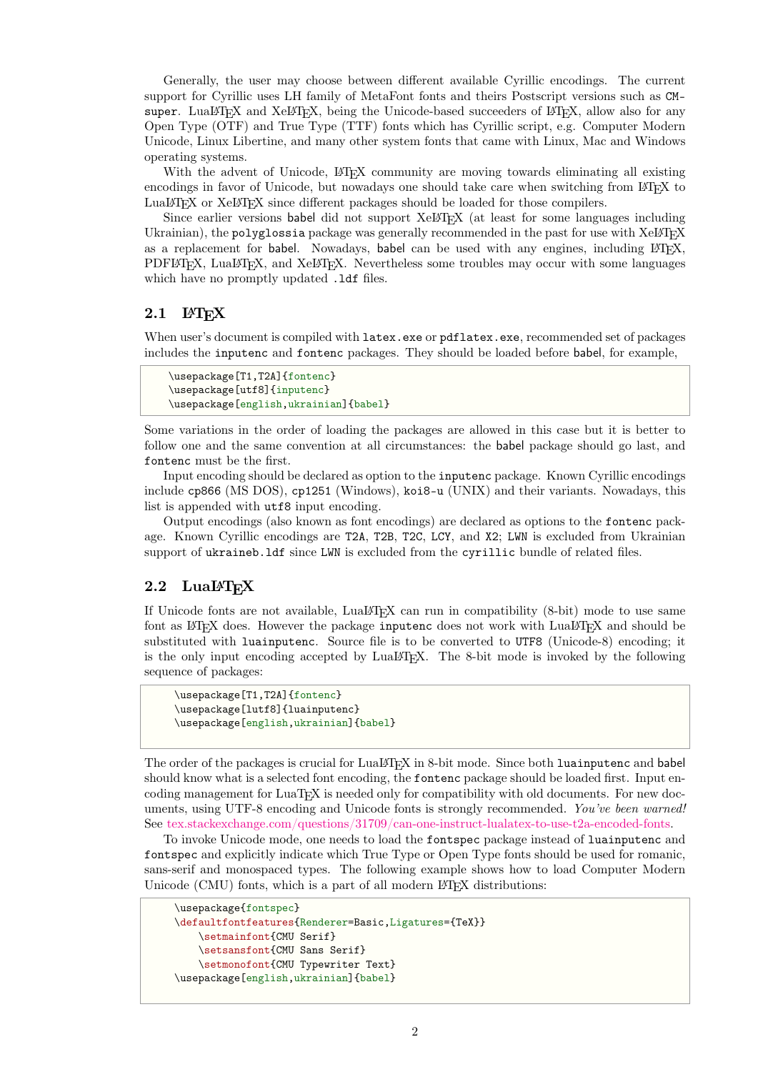Generally, the user may choose between different available Cyrillic encodings. The current support for Cyrillic uses LH family of MetaFont fonts and theirs Postscript versions such as CMsuper. LuaLATEX and XeLATEX, being the Unicode-based succeeders of LATEX, allow also for any Open Type (OTF) and True Type (TTF) fonts which has Cyrillic script, e.g. Computer Modern Unicode, Linux Libertine, and many other system fonts that came with Linux, Mac and Windows operating systems.

With the advent of Unicode, LAT<sub>EX</sub> community are moving towards eliminating all existing encodings in favor of Unicode, but nowadays one should take care when switching from LATEX to LuaLAT<sub>EX</sub> or XeLAT<sub>EX</sub> since different packages should be loaded for those compilers.

Since earlier versions babel did not support  $XeLFTFX$  (at least for some languages including Ukrainian), the polyglossia package was generally recommended in the past for use with  $XeL^2T_FX$ as a replacement for babel. Nowadays, babel can be used with any engines, including LATEX, PDFLATEX, LuaLATEX, and XeLATEX. Nevertheless some troubles may occur with some languages which have no promptly updated .1df files.

## <span id="page-1-0"></span>**2.1 LATEX**

When user's document is compiled with latex.exe or pdflatex.exe, recommended set of packages includes the inputenc and fontenc packages. They should be loaded before babel, for example,

```
\usepackage[T1,T2A]{fontenc}
\usepackage[utf8]{inputenc}
\usepackage[english,ukrainian]{babel}
```
Some variations in the order of loading the packages are allowed in this case but it is better to follow one and the same convention at all circumstances: the babel package should go last, and fontenc must be the first.

Input encoding should be declared as option to the inputenc package. Known Cyrillic encodings include cp866 (MS DOS), cp1251 (Windows), koi8-u (UNIX) and their variants. Nowadays, this list is appended with  $\texttt{utf8}$  input encoding.

Output encodings (also known as font encodings) are declared as options to the fontenc package. Known Cyrillic encodings are T2A, T2B, T2C, LCY, and X2; LWN is excluded from Ukrainian support of ukraineb.ldf since LWN is excluded from the cyrillic bundle of related files.

### <span id="page-1-1"></span>2.2 LuaL<sup>A</sup>T<sub>E</sub>X

If Unicode fonts are not available,  $\text{LualF}FX$  can run in compatibility (8-bit) mode to use same font as LATEX does. However the package inputence does not work with LuaLATEX and should be substituted with luainputenc. Source file is to be converted to UTF8 (Unicode-8) encoding; it is the only input encoding accepted by LuaLATEX. The 8-bit mode is invoked by the following sequence of packages:

```
\usepackage[T1,T2A]{fontenc}
\usepackage[lutf8]{luainputenc}
\usepackage[english,ukrainian]{babel}
```
The order of the packages is crucial for LuaLATEX in 8-bit mode. Since both luainputenc and babel should know what is a selected font encoding, the fontenc package should be loaded first. Input encoding management for LuaTEX is needed only for compatibility with old documents. For new documents, using UTF-8 encoding and Unicode fonts is strongly recommended. *You've been warned!* See [tex.stackexchange.com/questions/31709/can-one-instruct-lualatex-to-use-t2a-encoded-fonts.](http://tex.stackexchange.com/questions/31709/can-one-instruct-lualatex-to-use-t2a-encoded-fonts)

To invoke Unicode mode, one needs to load the fontspec package instead of luainputenc and fontspec and explicitly indicate which True Type or Open Type fonts should be used for romanic, sans-serif and monospaced types. The following example shows how to load Computer Modern Unicode (CMU) fonts, which is a part of all modern LAT<sub>EX</sub> distributions:

```
\usepackage{fontspec}
\defaultfontfeatures{Renderer=Basic,Ligatures={TeX}}
    \setmainfont{CMU Serif}
    \setsansfont{CMU Sans Serif}
    \setmonofont{CMU Typewriter Text}
\usepackage[english,ukrainian]{babel}
```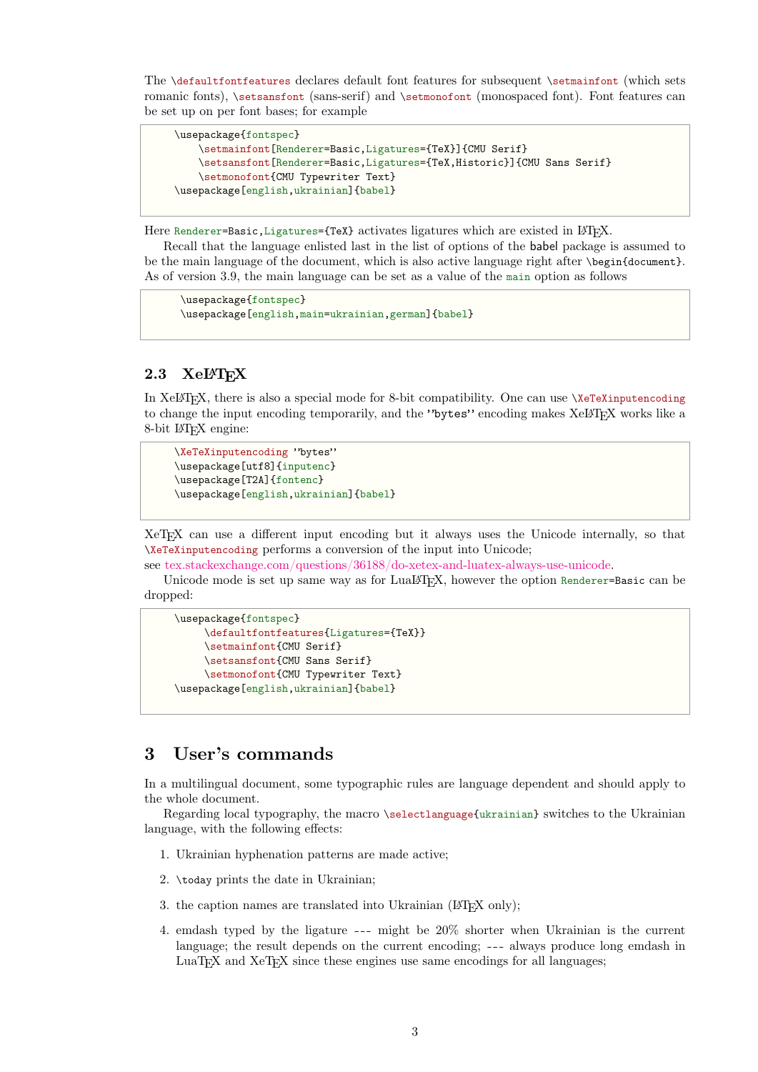The \defaultfontfeatures declares default font features for subsequent \setmainfont (which sets romanic fonts), \setsansfont (sans-serif) and \setmonofont (monospaced font). Font features can be set up on per font bases; for example

```
\usepackage{fontspec}
    \setmainfont[Renderer=Basic,Ligatures={TeX}]{CMU Serif}
    \setsansfont[Renderer=Basic,Ligatures={TeX,Historic}]{CMU Sans Serif}
    \setmonofont{CMU Typewriter Text}
\usepackage[english,ukrainian]{babel}
```
Here Renderer=Basic, Ligatures={TeX} activates ligatures which are existed in LATEX.

Recall that the language enlisted last in the list of options of the babel package is assumed to be the main language of the document, which is also active language right after \begin{document}. As of version 3.9, the main language can be set as a value of the main option as follows

```
\usepackage{fontspec}
\usepackage[english,main=ukrainian,german]{babel}
```
### <span id="page-2-0"></span>**2.3 XeLATEX**

In XeLATEX, there is also a special mode for 8-bit compatibility. One can use \XeTeXinputencoding to change the input encoding temporarily, and the "bytes" encoding makes XeLTFX works like a 8-bit LATEX engine:

```
\XeTeXinputencoding "bytes"
\usepackage[utf8]{inputenc}
\usepackage[T2A]{fontenc}
\usepackage[english,ukrainian]{babel}
```
XeTEX can use a different input encoding but it always uses the Unicode internally, so that \XeTeXinputencoding performs a conversion of the input into Unicode;

see [tex.stackexchange.com/questions/36188/do-xetex-and-luatex-always-use-unicode.](http://tex.stackexchange.com/questions/36188/do-xetex-and-luatex-always-use-unicode)

Unicode mode is set up same way as for LuaLAT<sub>EX</sub>, however the option Renderer=Basic can be dropped:

```
\usepackage{fontspec}
     \defaultfontfeatures{Ligatures={TeX}}
     \setmainfont{CMU Serif}
     \setsansfont{CMU Sans Serif}
     \setmonofont{CMU Typewriter Text}
\usepackage[english,ukrainian]{babel}
```
## <span id="page-2-1"></span>**3 User's commands**

In a multilingual document, some typographic rules are language dependent and should apply to the whole document.

Regarding local typography, the macro \selectlanguage{ukrainian} switches to the Ukrainian language, with the following effects:

- 1. Ukrainian hyphenation patterns are made active;
- 2. \today prints the date in Ukrainian;
- 3. the caption names are translated into Ukrainian ( $\Delta T$ <sub>EX</sub> only);
- 4. emdash typed by the ligature --- might be 20% shorter when Ukrainian is the current language; the result depends on the current encoding; --- always produce long emdash in LuaT<sub>EX</sub> and  $XeTEX$  since these engines use same encodings for all languages;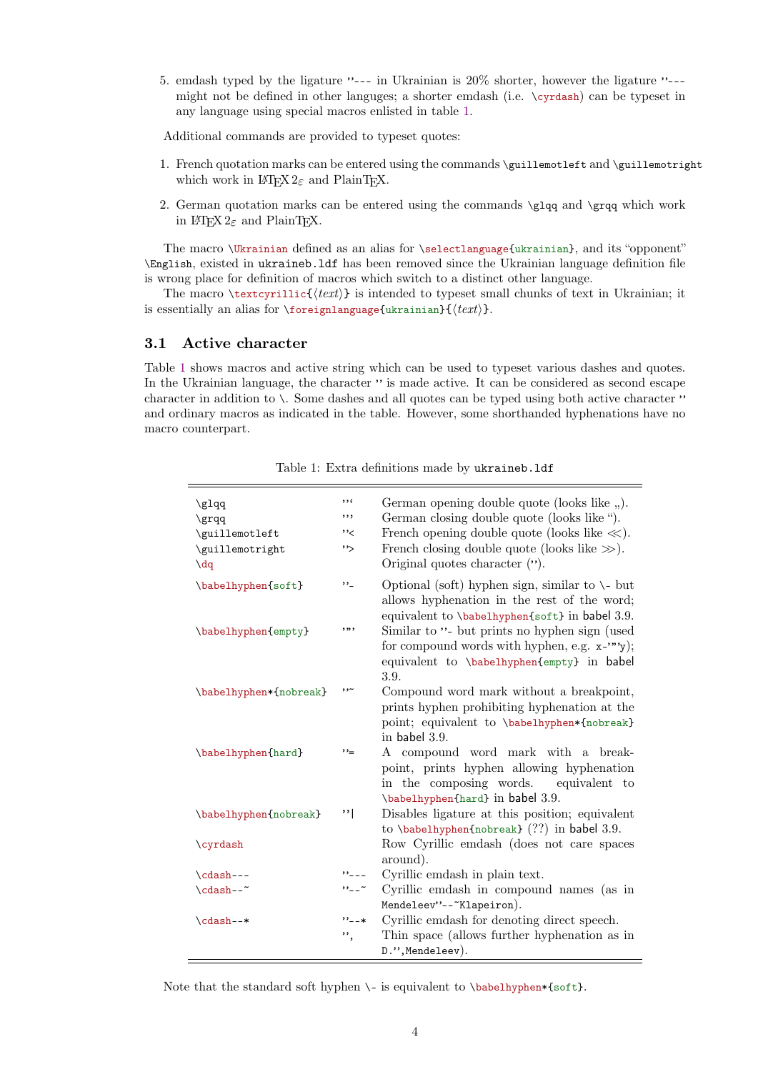5. emdash typed by the ligature "--- in Ukrainian is 20% shorter, however the ligature "-- might not be defined in other languges; a shorter emdash (i.e. \cyrdash) can be typeset in any language using special macros enlisted in table [1.](#page-3-1)

Additional commands are provided to typeset quotes:

- 1. French quotation marks can be entered using the commands \guillemotleft and \guillemotright which work in  $\text{Lipx2}_{\varepsilon}$  and PlainT<sub>E</sub>X.
- 2. German quotation marks can be entered using the commands  $\gtrsim$   $\qquad$   $\qquad$   $\qquad$   $\qquad$   $\qquad$   $\qquad$   $\qquad$   $\qquad$   $\qquad$   $\qquad$   $\qquad$   $\qquad$   $\qquad$   $\qquad$   $\qquad$   $\qquad$   $\qquad$   $\qquad$   $\qquad$   $\qquad$   $\qquad$   $\qquad$   $\qquad$   $\qquad$   $\qquad$   $\qquad$ in  $\text{IATF}X2_{\varepsilon}$  and PlainTFX.

The macro \Ukrainian defined as an alias for \selectlanguage{ukrainian}, and its "opponent" \English, existed in ukraineb.ldf has been removed since the Ukrainian language definition file is wrong place for definition of macros which switch to a distinct other language.

The macro  $\text{text}$   $\text{text}$ ) is intended to typeset small chunks of text in Ukrainian; it is essentially an alias for \foreignlanguage{ukrainian}{ $\langle text \rangle$ .

### <span id="page-3-0"></span>**3.1 Active character**

Table [1](#page-3-1) shows macros and active string which can be used to typeset various dashes and quotes. In the Ukrainian language, the character " is made active. It can be considered as second escape character in addition to  $\setminus$ . Some dashes and all quotes can be typed using both active character " and ordinary macros as indicated in the table. However, some shorthanded hyphenations have no macro counterpart.

| \glqq<br>\grqq<br>\guillemotleft<br>\guillemotright<br>$\frac{dq}{dt}$ | , 1<br>, , ,<br>''く<br>''> | German opening double quote (looks like ").<br>German closing double quote (looks like ").<br>French opening double quote (looks like $\ll$ ).<br>French closing double quote (looks like $\gg$ ).<br>Original quotes character ("). |
|------------------------------------------------------------------------|----------------------------|--------------------------------------------------------------------------------------------------------------------------------------------------------------------------------------------------------------------------------------|
| \babelhyphen{soft}                                                     | ,,_                        | Optional (soft) hyphen sign, similar to $\setminus$ - but<br>allows hyphenation in the rest of the word;                                                                                                                             |
| \babelhyphen{empty}                                                    | ,,,,                       | equivalent to \babelhyphen{soft} in babel 3.9.<br>Similar to "- but prints no hyphen sign (used<br>for compound words with hyphen, e.g. $x$ -""y);<br>equivalent to \babelhyphen{empty} in babel<br>3.9.                             |
| \babelhyphen*{nobreak}                                                 | ۰,۰                        | Compound word mark without a breakpoint,<br>prints hyphen prohibiting hyphenation at the<br>point; equivalent to \babelhyphen*{nobreak}<br>in babel $3.9$ .                                                                          |
| \babelhyphen{hard}                                                     | ,,_                        | A compound word mark with a break-<br>point, prints hyphen allowing hyphenation<br>in the composing words. equivalent to<br>\babelhyphen{hard} in babel 3.9.                                                                         |
| \babelhyphen{nobreak}                                                  | $, \cdot \mid$             | Disables ligature at this position; equivalent<br>to $\boldsymbol{\lambda}(?')$ in babel 3.9.                                                                                                                                        |
| \cyrdash                                                               |                            | Row Cyrillic emdash (does not care spaces<br>around).                                                                                                                                                                                |
| \cdash---                                                              | "                          | Cyrillic emdash in plain text.                                                                                                                                                                                                       |
| \cdash--~                                                              | $\cdots$                   | Cyrillic emdash in compound names (as in<br>Mendeleev"--"Klapeiron).                                                                                                                                                                 |
| \cdash--*                                                              | $" -- *$<br>,,             | Cyrillic emdash for denoting direct speech.<br>Thin space (allows further hyphenation as in<br>D.", Mendeleev).                                                                                                                      |

<span id="page-3-1"></span>Table 1: Extra definitions made by ukraineb.ldf

Note that the standard soft hyphen  $\lq$ - is equivalent to  $\b$ babelhyphen\*{soft}.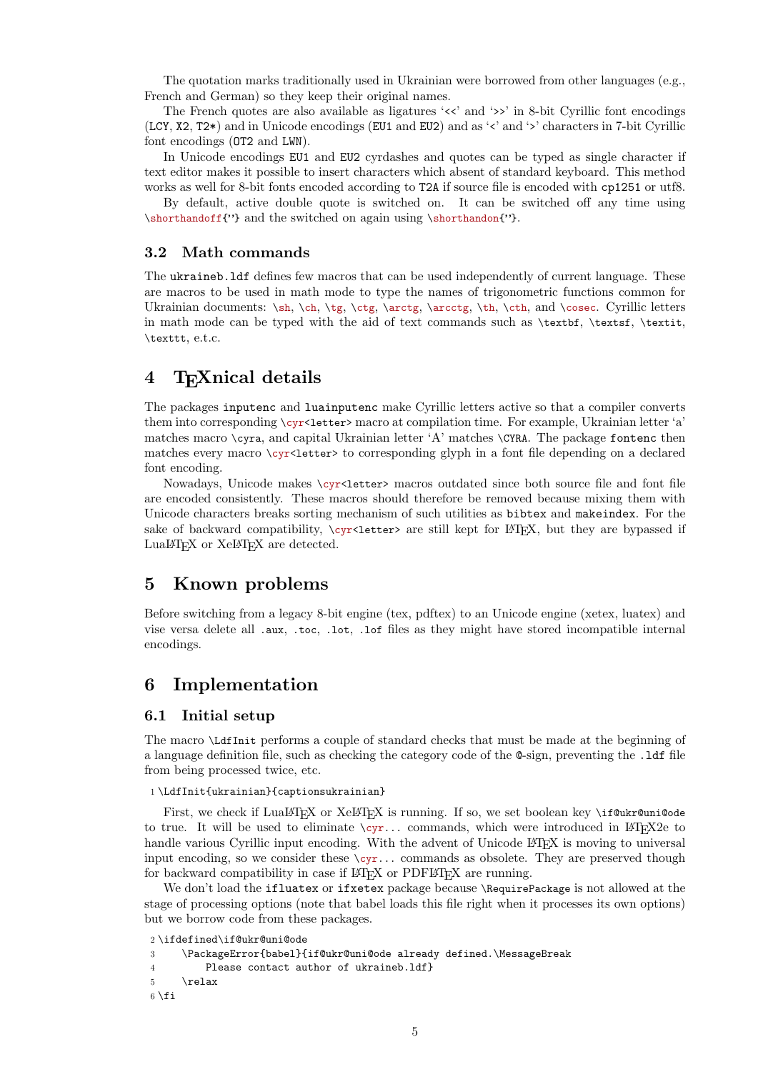The quotation marks traditionally used in Ukrainian were borrowed from other languages (e.g., French and German) so they keep their original names.

The French quotes are also available as ligatures '<<' and '>>' in 8-bit Cyrillic font encodings (LCY, X2, T2\*) and in Unicode encodings (EU1 and EU2) and as '<' and '>' characters in 7-bit Cyrillic font encodings (OT2 and LWN).

In Unicode encodings EU1 and EU2 cyrdashes and quotes can be typed as single character if text editor makes it possible to insert characters which absent of standard keyboard. This method works as well for 8-bit fonts encoded according to T2A if source file is encoded with cp1251 or utf8.

By default, active double quote is switched on. It can be switched off any time using \shorthandoff{"} and the switched on again using \shorthandon{"}.

#### <span id="page-4-0"></span>**3.2 Math commands**

The ukraineb.ldf defines few macros that can be used independently of current language. These are macros to be used in math mode to type the names of trigonometric functions common for Ukrainian documents: \sh, \ch, \tg, \ctg, \arctg, \arcctg, \th, \cth, and \cosec. Cyrillic letters in math mode can be typed with the aid of text commands such as \textbf, \textsf, \textit, \texttt, e.t.c.

## <span id="page-4-1"></span>**4 TEXnical details**

The packages inputenc and luainputenc make Cyrillic letters active so that a compiler converts them into corresponding \cyr<letter> macro at compilation time. For example, Ukrainian letter 'a' matches macro \cyra, and capital Ukrainian letter 'A' matches \CYRA. The package fontenc then matches every macro \cyr<1etter> to corresponding glyph in a font file depending on a declared font encoding.

Nowadays, Unicode makes \cyr<letter> macros outdated since both source file and font file are encoded consistently. These macros should therefore be removed because mixing them with Unicode characters breaks sorting mechanism of such utilities as bibtex and makeindex. For the sake of backward compatibility,  $\cycx\text{-letter}$  are still kept for  $\text{MFX}$ , but they are bypassed if LuaLAT<sub>EX</sub> or XeLAT<sub>EX</sub> are detected.

## <span id="page-4-2"></span>**5 Known problems**

Before switching from a legacy 8-bit engine (tex, pdftex) to an Unicode engine (xetex, luatex) and vise versa delete all .aux, .toc, .lot, .lof files as they might have stored incompatible internal encodings.

## <span id="page-4-3"></span>**6 Implementation**

#### <span id="page-4-4"></span>**6.1 Initial setup**

The macro \LdfInit performs a couple of standard checks that must be made at the beginning of a language definition file, such as checking the category code of the @-sign, preventing the .ldf file from being processed twice, etc.

#### 1 \LdfInit{ukrainian}{captionsukrainian}

First, we check if LuaLATEX or XeLATEX is running. If so, we set boolean key \if@ukr@uni@ode to true. It will be used to eliminate  $\cyr...$  commands, which were introduced in LATEX2e to handle various Cyrillic input encoding. With the advent of Unicode LATEX is moving to universal input encoding, so we consider these  $\zeta y$ ... commands as obsolete. They are preserved though for backward compatibility in case if LAT<sub>EX</sub> or PDFLAT<sub>EX</sub> are running.

We don't load the ifluatex or ifxetex package because *\RequirePackage* is not allowed at the stage of processing options (note that babel loads this file right when it processes its own options) but we borrow code from these packages.

2 \ifdefined\if@ukr@uni@ode

```
3 \PackageError{babel}{if@ukr@uni@ode already defined.\MessageBreak
4 Please contact author of ukraineb.ldf}
5 \relax
6 \setminus \mathtt{fi}
```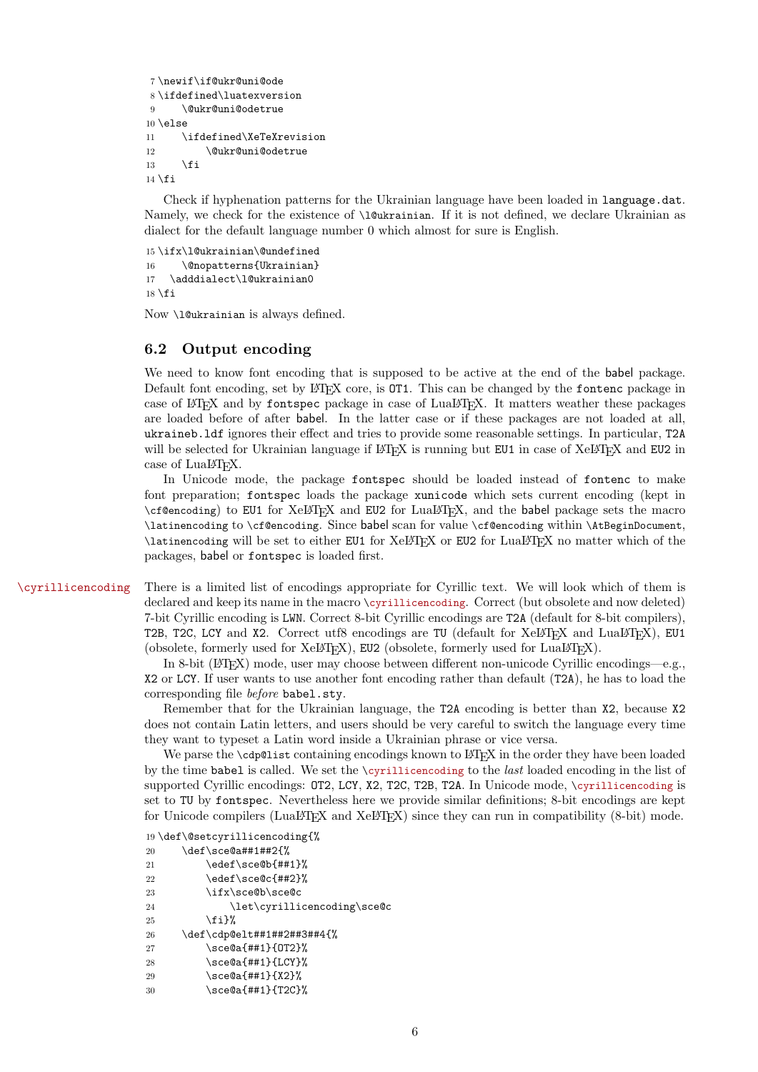```
7 \newif\if@ukr@uni@ode
8 \ifdefined\luatexversion
9 \@ukr@uni@odetrue
10 \else
11 \ifdefined\XeTeXrevision
12 \@ukr@uni@odetrue
13 \fi
14 \fi
```
Check if hyphenation patterns for the Ukrainian language have been loaded in language.dat. Namely, we check for the existence of \1@ukrainian. If it is not defined, we declare Ukrainian as dialect for the default language number 0 which almost for sure is English.

15 \ifx\l@ukrainian\@undefined 16 \@nopatterns{Ukrainian} 17 \adddialect\l@ukrainian0  $18 \setminus \text{fi}$ 

Now \l@ukrainian is always defined.

#### <span id="page-5-0"></span>**6.2 Output encoding**

We need to know font encoding that is supposed to be active at the end of the babel package. Default font encoding, set by LAT<sub>EX</sub> core, is 0T1. This can be changed by the fontenc package in case of LATEX and by fontspec package in case of LuaLATEX. It matters weather these packages are loaded before of after babel. In the latter case or if these packages are not loaded at all, ukraineb.ldf ignores their effect and tries to provide some reasonable settings. In particular, T2A will be selected for Ukrainian language if LATEX is running but EU1 in case of XeLATEX and EU2 in case of LuaLATFX.

In Unicode mode, the package fontspec should be loaded instead of fontenc to make font preparation; fontspec loads the package xunicode which sets current encoding (kept in \cf@encoding) to EU1 for XeLATEX and EU2 for LuaLATEX, and the babel package sets the macro \latinencoding to \cf@encoding. Since babel scan for value \cf@encoding within \AtBeginDocument, \latinencoding will be set to either EU1 for XeLATEX or EU2 for LuaLATEX no matter which of the packages, babel or fontspec is loaded first.

\cyrillicencoding There is a limited list of encodings appropriate for Cyrillic text. We will look which of them is declared and keep its name in the macro \cyrillicencoding. Correct (but obsolete and now deleted) 7-bit Cyrillic encoding is LWN. Correct 8-bit Cyrillic encodings are T2A (default for 8-bit compilers), T2B, T2C, LCY and X2. Correct utf8 encodings are TU (default for XeLT<sub>E</sub>X and LuaLT<sub>E</sub>X), EU1 (obsolete, formerly used for  $XeBTFX$ ), EU2 (obsolete, formerly used for  $LuaBTFX$ ).

> In 8-bit (LATEX) mode, user may choose between different non-unicode Cyrillic encodings—e.g., X2 or LCY. If user wants to use another font encoding rather than default (T2A), he has to load the corresponding file *before* babel.sty.

> Remember that for the Ukrainian language, the T2A encoding is better than X2, because X2 does not contain Latin letters, and users should be very careful to switch the language every time they want to typeset a Latin word inside a Ukrainian phrase or vice versa.

> We parse the \cdp@list containing encodings known to LATEX in the order they have been loaded by the time babel is called. We set the \cyrillicencoding to the *last* loaded encoding in the list of supported Cyrillic encodings: OT2, LCY, X2, T2C, T2B, T2A. In Unicode mode, \cyrillicencoding is set to TU by fontspec. Nevertheless here we provide similar definitions; 8-bit encodings are kept for Unicode compilers (LuaLATEX and XeLATEX) since they can run in compatibility  $(8-bit)$  mode.

```
19 \def\@setcyrillicencoding{%
```

| 20 | \def\sce@a##1##2{%          |  |
|----|-----------------------------|--|
| 21 | \edef\sce@b{##1}%           |  |
| 22 | \edef\sce@c{##2}%           |  |
| 23 | \ifx\sce@b\sce@c            |  |
| 24 | \let\cyrillicencoding\sce@c |  |
| 25 | \fi}%                       |  |
| 26 | \def\cdp@elt##1##2##3##4{%  |  |
| 27 | \sce@a{##1}{0T2}%           |  |
| 28 | \sce@a{##1}{LCY}%           |  |
| 29 | \sce@a{##1}{X2}%            |  |
| 30 | \sce@a{##1}{T2C}%           |  |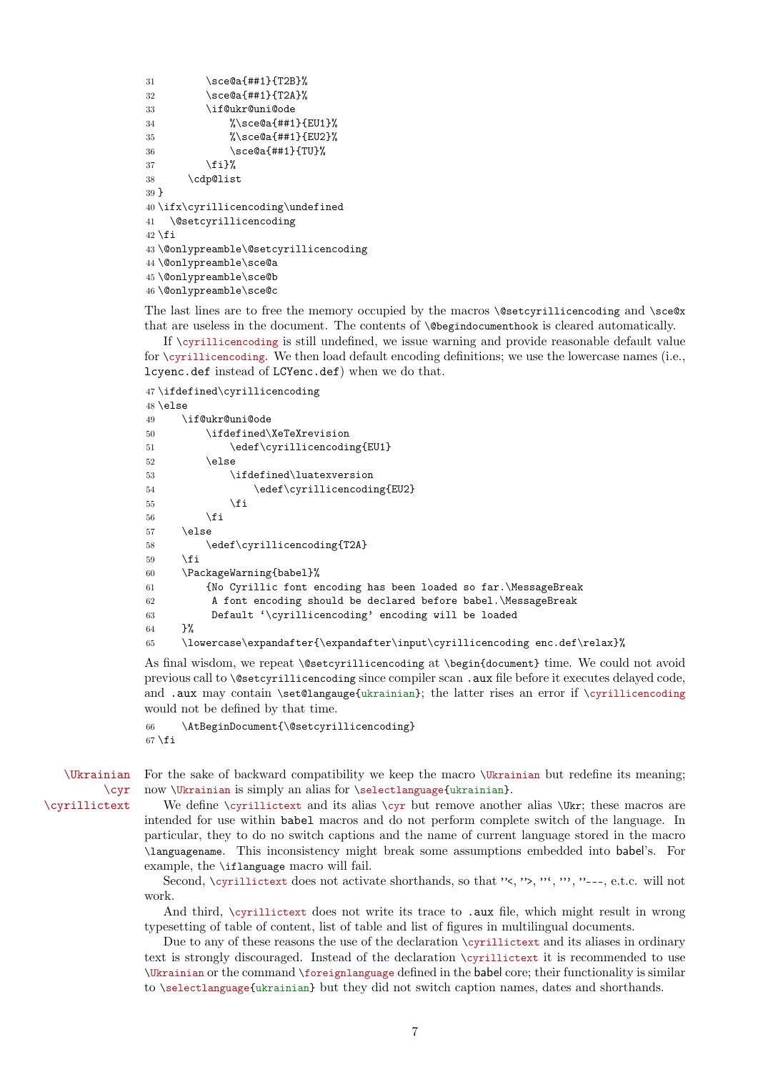```
31 \sce@a{##1}{T2B}%
32 \sce@a{##1}{T2A}%
33 \if@ukr@uni@ode
34 %\sce@a{##1}{EU1}%
35 %\sce@a{##1}{EU2}%
36 \sce@a{##1}{TU}%
37 \quad \text{if } \mathbf{i} \mathbf{\}%
38 \cdp@list
39 }
40 \ifx\cyrillicencoding\undefined
41 \@setcyrillicencoding
42 \setminus fi43 \@onlypreamble\@setcyrillicencoding
44 \@onlypreamble\sce@a
45 \@onlypreamble\sce@b
46 \@onlypreamble\sce@c
```
The last lines are to free the memory occupied by the macros \@setcyrillicencoding and \sce@x that are useless in the document. The contents of \@begindocumenthook is cleared automatically.

If \cyrillicencoding is still undefined, we issue warning and provide reasonable default value for  $\emptyset$ ;  $\gamma$  is a text of the load default encoding definitions; we use the lowercase names (i.e., lcyenc.def instead of LCYenc.def) when we do that.

47 \ifdefined\cyrillicencoding

```
48 \else
49 \if@ukr@uni@ode
50 \ifdefined\XeTeXrevision
51 \edef\cyrillicencoding{EU1}
52 \else
53 \ifdefined\luatexversion
54 \edef\cyrillicencoding{EU2}
55 \quad \text{If}56 \quad \text{if}57 \else
58 \edef\cyrillicencoding{T2A}
50 \quad \text{If}60 \PackageWarning{babel}%
61 {No Cyrillic font encoding has been loaded so far.\MessageBreak
62 A font encoding should be declared before babel.\MessageBreak
63 Default '\cyrillicencoding' encoding will be loaded
64 }%
65 \lowercase\expandafter{\expandafter\input\cyrillicencoding enc.def\relax}%
```
As final wisdom, we repeat \@setcyrillicencoding at \begin{document} time. We could not avoid previous call to \@setcyrillicencoding since compiler scan .aux file before it executes delayed code, and .aux may contain \set@langauge{ukrainian}; the latter rises an error if \cyrillicencoding would not be defined by that time.

```
66 \AtBeginDocument{\@setcyrillicencoding}
67 \fi
```
\Ukrainian \cyr \cyrillictext

For the sake of backward compatibility we keep the macro *\Ukrainian but redefine its meaning*; now \Ukrainian is simply an alias for \selectlanguage{ukrainian}.

We define \cyrillictext and its alias  $\cyr$  but remove another alias  $\Wr$ ; these macros are intended for use within babel macros and do not perform complete switch of the language. In particular, they to do no switch captions and the name of current language stored in the macro \languagename. This inconsistency might break some assumptions embedded into babel's. For example, the \iflanguage macro will fail.

Second, \cyrillictext does not activate shorthands, so that "<, ">, "', "', "---, e.t.c. will not work.

And third, \cyrillictext does not write its trace to .aux file, which might result in wrong typesetting of table of content, list of table and list of figures in multilingual documents.

Due to any of these reasons the use of the declaration \cyrillictext and its aliases in ordinary text is strongly discouraged. Instead of the declaration \cyrillictext it is recommended to use \Ukrainian or the command \foreignlanguage defined in the babel core; their functionality is similar to \selectlanguage{ukrainian} but they did not switch caption names, dates and shorthands.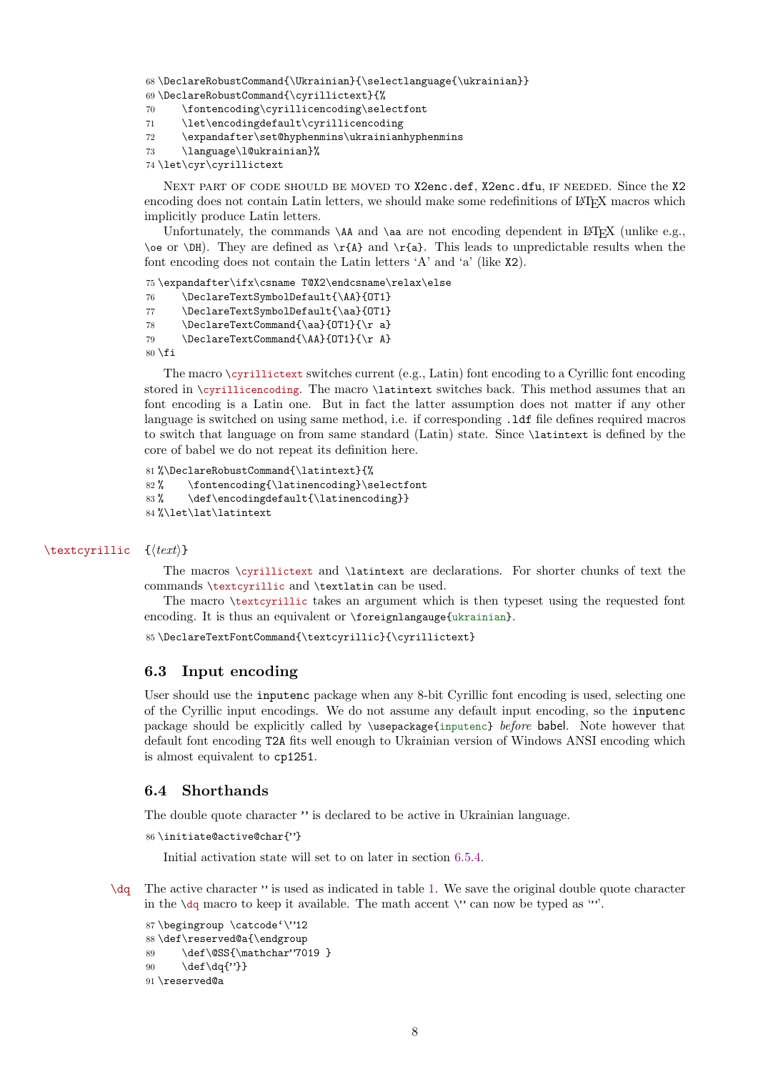```
68\DeclareRobustCommand{\Ukrainian}{\selectlanguage{\ukrainian}}
```

```
69 \DeclareRobustCommand{\cyrillictext}{%
70 \fontencoding\cyrillicencoding\selectfont
```
- 71 \let\encodingdefault\cyrillicencoding
- 72 \expandafter\set@hyphenmins\ukrainianhyphenmins

```
73 \language\l@ukrainian}%
```

```
74 \let\cyr\cyrillictext
```
NEXT PART OF CODE SHOULD BE MOVED TO X2enc.def, X2enc.dfu, IF NEEDED. Since the X2 encoding does not contain Latin letters, we should make some redefinitions of LATEX macros which implicitly produce Latin letters.

Unfortunately, the commands  $\A$  and  $\aa$  are not encoding dependent in LATEX (unlike e.g.,  $\oe$  or  $\DH$ . They are defined as  $\r{A}$  and  $\r{a}$ . This leads to unpredictable results when the font encoding does not contain the Latin letters 'A' and 'a' (like X2).

75 \expandafter\ifx\csname T@X2\endcsname\relax\else

- 76 \DeclareTextSymbolDefault{\AA}{OT1}
- 77 \DeclareTextSymbolDefault{\aa}{0T1}
- 78 \DeclareTextCommand{\aa}{0T1}{\r a}
- 79 \DeclareTextCommand{\AA}{OT1}{\r A}

```
80 \setminus \texttt{fi}
```
The macro \cyrillictext switches current (e.g., Latin) font encoding to a Cyrillic font encoding stored in \cyrillicencoding. The macro \latintext switches back. This method assumes that an font encoding is a Latin one. But in fact the latter assumption does not matter if any other language is switched on using same method, i.e. if corresponding .ldf file defines required macros to switch that language on from same standard (Latin) state. Since \latintext is defined by the core of babel we do not repeat its definition here.

```
81 %\DeclareRobustCommand{\latintext}{%
82% \fontencoding{\latinencoding}\selectfont
83% \def\encodingdefault{\latinencoding}}
84 %\let\lat\latintext
```
#### \textcyrillic {*\text*}}

The macros \cyrillictext and \latintext are declarations. For shorter chunks of text the commands \textcyrillic and \textlatin can be used.

The macro \textcyrillic takes an argument which is then typeset using the requested font encoding. It is thus an equivalent or \foreignlangauge{ukrainian}.

```
85\DeclareTextFontCommand{\textcyrillic}{\cyrillictext}
```
#### <span id="page-7-0"></span>**6.3 Input encoding**

User should use the inputenc package when any 8-bit Cyrillic font encoding is used, selecting one of the Cyrillic input encodings. We do not assume any default input encoding, so the inputenc package should be explicitly called by \usepackage{inputenc} *before* babel. Note however that default font encoding T2A fits well enough to Ukrainian version of Windows ANSI encoding which is almost equivalent to cp1251.

#### <span id="page-7-1"></span>**6.4 Shorthands**

The double quote character " is declared to be active in Ukrainian language.

```
86 \initiate@active@char{"}
```
Initial activation state will set to on later in section [6.5.4.](#page-12-1)

\dq The active character " is used as indicated in table [1.](#page-3-1) We save the original double quote character in the  $\dagger$  macro to keep it available. The math accent  $\vee$  can now be typed as '".

```
87 \begingroup \catcode'\"12
88 \def\reserved@a{\endgroup
89 \def\@SS{\mathchar"7019 }
90 \def\dq{"}}
91 \reserved@a
```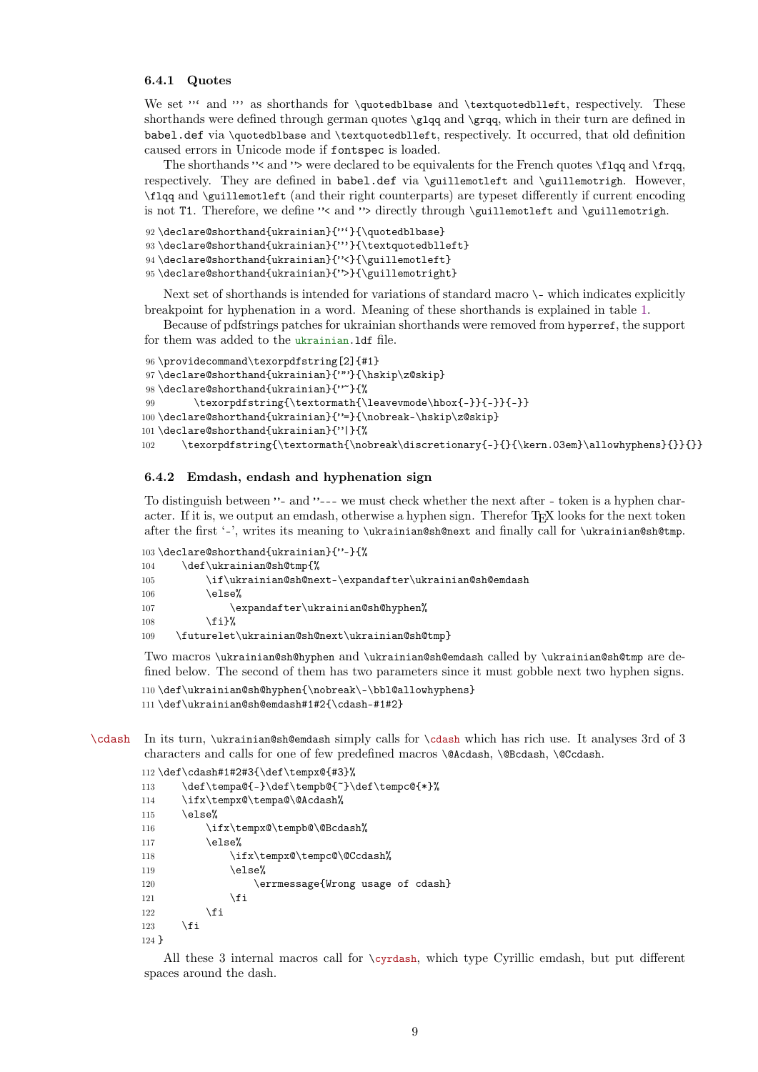#### <span id="page-8-0"></span>**6.4.1 Quotes**

We set "' and "' as shorthands for \quotedblbase and \textquotedblleft, respectively. These shorthands were defined through german quotes \glqq and \grqq, which in their turn are defined in babel.def via \quotedblbase and \textquotedblleft, respectively. It occurred, that old definition caused errors in Unicode mode if fontspec is loaded.

The shorthands " $\leq$  and " $\geq$  were declared to be equivalents for the French quotes  $\frac{q}{q}$  and  $\frac{q}{q}$ respectively. They are defined in babel.def via \guillemotleft and \guillemotrigh. However, \flqq and \guillemotleft (and their right counterparts) are typeset differently if current encoding is not T1. Therefore, we define "< and "> directly through \guillemotleft and \guillemotrigh.

```
92 \declare@shorthand{ukrainian}{"'}{\quotedblbase}
```

```
93\declare@shorthand{ukrainian}{"'}{\textquotedblleft}
```

```
94 \declare@shorthand{ukrainian}{"<}{\guillemotleft}
```
95 \declare@shorthand{ukrainian}{">}{\guillemotright}

Next set of shorthands is intended for variations of standard macro  $\setminus$ - which indicates explicitly breakpoint for hyphenation in a word. Meaning of these shorthands is explained in table [1.](#page-3-1)

Because of pdfstrings patches for ukrainian shorthands were removed from hyperref, the support for them was added to the ukrainian.ldf file.

```
96 \providecommand\texorpdfstring[2]{#1}
97 \declare@shorthand{ukrainian}{""}{\hskip\z@skip}
98 \declare@shorthand{ukrainian}{"~}{%
99 \texorpdfstring{\textormath{\leavevmode\hbox{-}}{-}}{-}}
100 \declare@shorthand{ukrainian}{"=}{\nobreak-\hskip\z@skip}
101 \declare@shorthand{ukrainian}{"|}{%
102 \texorpdfstring{\textormath{\nobreak\discretionary{-}{}{\kern.03em}\allowhyphens}{}}{}}
```
#### <span id="page-8-1"></span>**6.4.2 Emdash, endash and hyphenation sign**

To distinguish between "- and "--- we must check whether the next after - token is a hyphen character. If it is, we output an emdash, otherwise a hyphen sign. Therefor T<sub>E</sub>X looks for the next token after the first '-', writes its meaning to \ukrainian@sh@next and finally call for \ukrainian@sh@tmp.

```
103 \declare@shorthand{ukrainian}{"-}{%
104 \def\ukrainian@sh@tmp{%
105 \if\ukrainian@sh@next-\expandafter\ukrainian@sh@emdash
106 \else%
107 \expandafter\ukrainian@sh@hyphen%
108 \fi}%
109 \futurelet\ukrainian@sh@next\ukrainian@sh@tmp}
```
Two macros \ukrainian@sh@hyphen and \ukrainian@sh@emdash called by \ukrainian@sh@tmp are defined below. The second of them has two parameters since it must gobble next two hyphen signs.

110 \def\ukrainian@sh@hyphen{\nobreak\-\bbl@allowhyphens}

```
111 \def\ukrainian@sh@emdash#1#2{\cdash-#1#2}
```
\cdash In its turn, \ukrainian@sh@emdash simply calls for \cdash which has rich use. It analyses 3rd of 3 characters and calls for one of few predefined macros \@Acdash, \@Bcdash, \@Ccdash.

```
112 \def\cdash#1#2#3{\def\tempx@{#3}%
113 \def\tempa@{-}\def\tempb@{~}\def\tempc@{*}%
114 \ifx\tempx@\tempa@\@Acdash%
115 \else%
116 \ifx\tempx@\tempb@\@Bcdash%
117 \else%
118 \ifx\tempx@\tempc@\@Ccdash%
119 \text{else\text{\textendash}}120 \errmessage{Wrong usage of cdash}
121 \qquad \qquad \text{if}122 \fi
123 \ifmmode{\big\vert} \else{ 123 \fi \fi
124 }
```
All these 3 internal macros call for \cyrdash, which type Cyrillic emdash, but put different spaces around the dash.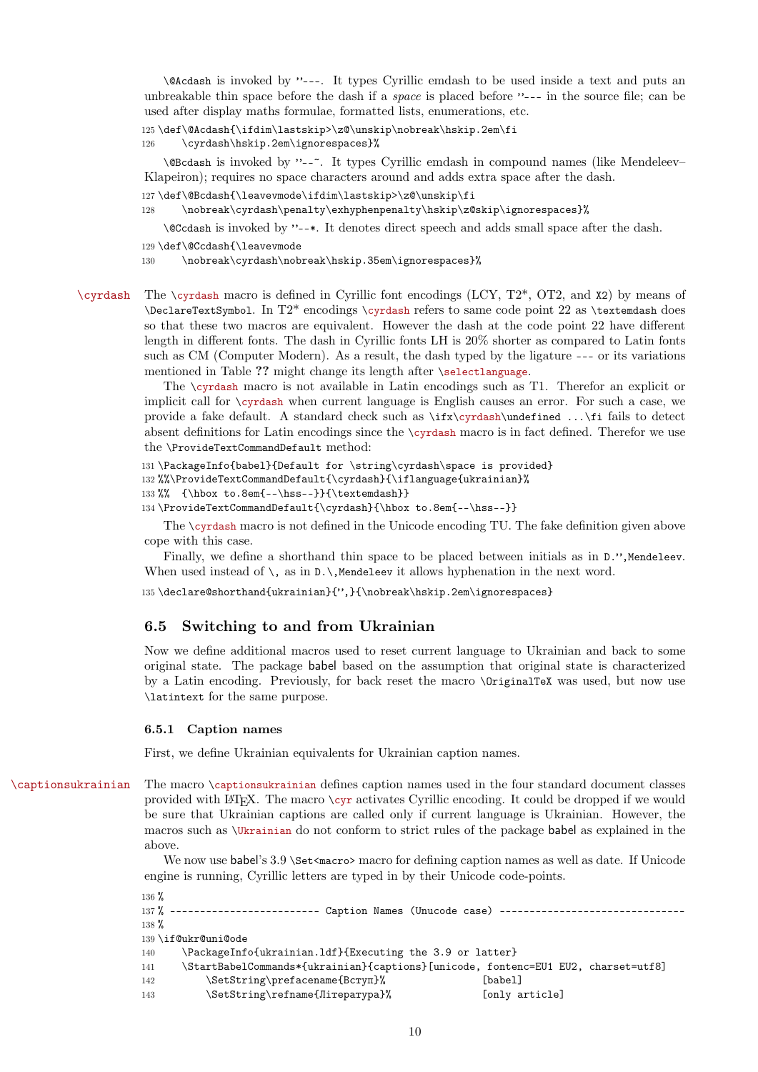\@Acdash is invoked by "---. It types Cyrillic emdash to be used inside a text and puts an unbreakable thin space before the dash if a *space* is placed before "--- in the source file; can be used after display maths formulae, formatted lists, enumerations, etc.

```
125 \def\@Acdash{\ifdim\lastskip>\z@\unskip\nobreak\hskip.2em\fi
```

```
126 \cyrdash\hskip.2em\ignorespaces}%
```
\@Bcdash is invoked by "--~. It types Cyrillic emdash in compound names (like Mendeleev– Klapeiron); requires no space characters around and adds extra space after the dash.

```
127 \def\@Bcdash{\leavevmode\ifdim\lastskip>\z@\unskip\fi
```

```
128 \nobreak\cyrdash\penalty\exhyphenpenalty\hskip\z@skip\ignorespaces}%
```
\@Ccdash is invoked by "--\*. It denotes direct speech and adds small space after the dash.

```
129 \def\@Ccdash{\leavevmode
```
130 \nobreak\cyrdash\nobreak\hskip.35em\ignorespaces}%

\cyrdash The \cyrdash macro is defined in Cyrillic font encodings (LCY, T2\*, OT2, and X2) by means of \DeclareTextSymbol. In T2\* encodings \cyrdash refers to same code point 22 as \textemdash does so that these two macros are equivalent. However the dash at the code point 22 have different length in different fonts. The dash in Cyrillic fonts LH is 20% shorter as compared to Latin fonts such as CM (Computer Modern). As a result, the dash typed by the ligature --- or its variations mentioned in Table ?? might change its length after \selectlanguage.

> The \cyrdash macro is not available in Latin encodings such as T1. Therefor an explicit or implicit call for \cyrdash when current language is English causes an error. For such a case, we provide a fake default. A standard check such as \ifx\cyrdash\undefined ...\fi fails to detect absent definitions for Latin encodings since the \cyrdash macro is in fact defined. Therefor we use the \ProvideTextCommandDefault method:

```
131 \PackageInfo{babel}{Default for \string\cyrdash\space is provided}
```
132 %%\ProvideTextCommandDefault{\cyrdash}{\iflanguage{ukrainian}%

```
133 %% {\hbox to.8em{--\hss--}}{\textemdash}}
```

```
134 \ProvideTextCommandDefault{\cyrdash}{\hbox to.8em{--\hss--}}
```
The \cyrdash macro is not defined in the Unicode encoding TU. The fake definition given above cope with this case.

Finally, we define a shorthand thin space to be placed between initials as in D.", Mendeleev. When used instead of  $\,$ , as in  $D.\$ ,Mendeleev it allows hyphenation in the next word.

135 \declare@shorthand{ukrainian}{",}{\nobreak\hskip.2em\ignorespaces}

### <span id="page-9-0"></span>**6.5 Switching to and from Ukrainian**

Now we define additional macros used to reset current language to Ukrainian and back to some original state. The package babel based on the assumption that original state is characterized by a Latin encoding. Previously, for back reset the macro \OriginalTeX was used, but now use \latintext for the same purpose.

#### <span id="page-9-1"></span>**6.5.1 Caption names**

First, we define Ukrainian equivalents for Ukrainian caption names.

\captionsukrainian The macro \captionsukrainian defines caption names used in the four standard document classes provided with LATEX. The macro \cyr activates Cyrillic encoding. It could be dropped if we would be sure that Ukrainian captions are called only if current language is Ukrainian. However, the macros such as \Ukrainian do not conform to strict rules of the package babel as explained in the above.

> We now use babel's 3.9 \Set<macro> macro for defining caption names as well as date. If Unicode engine is running, Cyrillic letters are typed in by their Unicode code-points.

```
136 %
137% ------------------------ Caption Names (Unucode case) ----------------------------
138 %
139 \if@ukr@uni@ode
140 \PackageInfo{ukrainian.ldf}{Executing the 3.9 or latter}
141 \StartBabelCommands*{ukrainian}{captions}[unicode, fontenc=EU1 EU2, charset=utf8]
142 \SetString\prefacename{Вступ}% [babel]
143 \SetString\refname{Література}% [only article]
```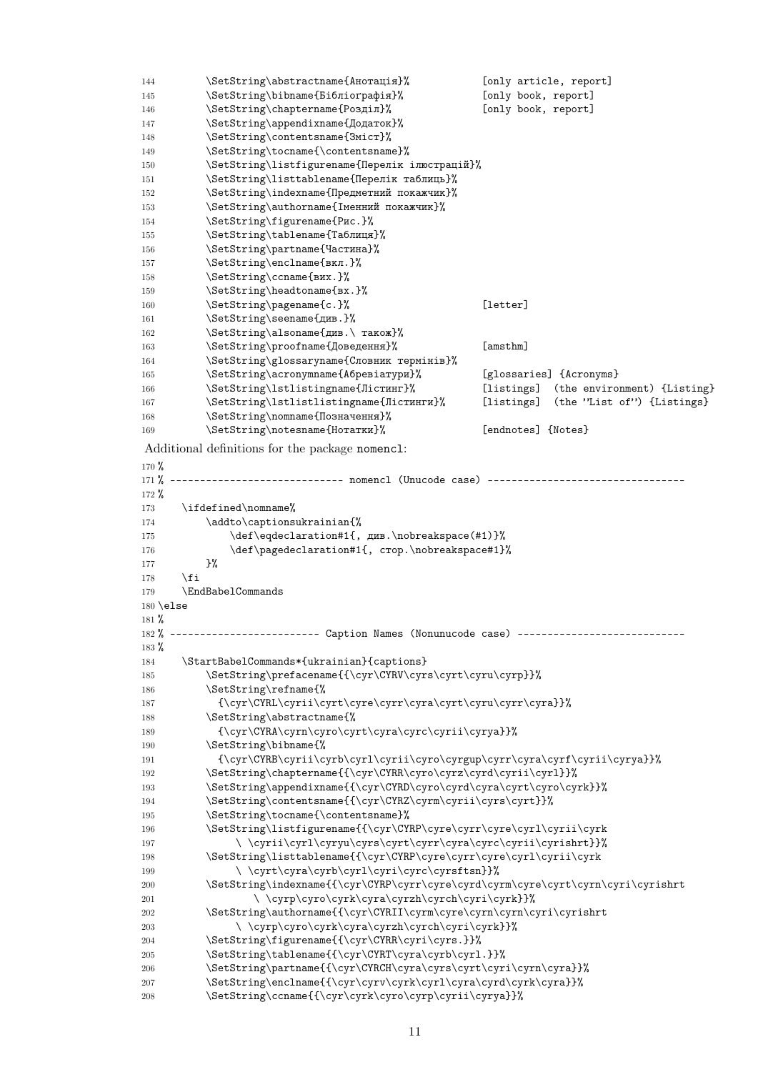| 144               | \SetString\abstractname{Анотація}%                                                         |                     | [only article, report]      |
|-------------------|--------------------------------------------------------------------------------------------|---------------------|-----------------------------|
| 145               | \SetString\bibname{Бібліографія}%                                                          | [only book, report] |                             |
| 146               | \SetString\chaptername{Розділ}%                                                            | [only book, report] |                             |
|                   |                                                                                            |                     |                             |
| 147               | \SetString\appendixname{Додаток}%                                                          |                     |                             |
| 148               | \SetString\contentsname{3micr}%                                                            |                     |                             |
| 149               | \SetString\tocname{\contentsname}%                                                         |                     |                             |
| 150               | \SetString\listfigurename{Перелік ілюстрацій}%                                             |                     |                             |
| 151               | \SetString\listtablename{Перелік таблиць}%                                                 |                     |                             |
| 152               | \SetString\indexname{Предметний покажчик}%                                                 |                     |                             |
| 153               | \SetString\authorname{Іменний покажчик}%                                                   |                     |                             |
| 154               | \SetString\figurename{Puc.}%                                                               |                     |                             |
| 155               | \SetString\tablename{Таблиця}%                                                             |                     |                             |
| 156               | \SetString\partname{Частина}%                                                              |                     |                             |
| 157               | \SetString\enclname{вкл.}%                                                                 |                     |                             |
| 158               | \SetString\ccname{BHX.}%                                                                   |                     |                             |
| 159               | \SetString\headtoname{Bx.}%                                                                |                     |                             |
| 160               | \SetString\pagename{c.}%                                                                   | [letter]            |                             |
|                   |                                                                                            |                     |                             |
| 161               | \SetString\seename{див.}%                                                                  |                     |                             |
| 162               | \SetString\alsoname{див.\ також}%                                                          |                     |                             |
| 163               | \SetString\proofname{Доведення}%                                                           | [amsthm]            |                             |
| 164               | \SetString\glossaryname{Словник термінів}%                                                 |                     |                             |
| 165               | \SetString\acronymname{Абревіатури}%                                                       |                     | [glossaries] {Acronyms}     |
| 166               | \SetString\lstlistingname{Лістинг}%                                                        | [listings]          | (the environment) {Listing} |
| 167               | \SetString\lstlistlistingname{Лістинги}%                                                   | [listings]          | (the 'List of') {Listings}  |
| 168               | \SetString\nomname{Позначення}%                                                            |                     |                             |
| 169               | \SetString\notesname{Нотатки}%                                                             | [endnotes] {Notes}  |                             |
|                   |                                                                                            |                     |                             |
|                   | Additional definitions for the package nomenc1:                                            |                     |                             |
| $170\%$           |                                                                                            |                     |                             |
| $171 \%$          | --------------------------- nomencl (Unucode case) --------------------------              |                     |                             |
| $172 \%$          |                                                                                            |                     |                             |
| 173               | \ifdefined\nomname%                                                                        |                     |                             |
| 174               | \addto\captionsukrainian{%                                                                 |                     |                             |
| 175               | \def\eqdeclaration#1{, див.\nobreakspace(#1)}%                                             |                     |                             |
|                   |                                                                                            |                     |                             |
| 176               | \def\pagedeclaration#1{, crop.\nobreakspace#1}%                                            |                     |                             |
| 177               | }‰                                                                                         |                     |                             |
| 178               | \fi                                                                                        |                     |                             |
| 179               | \EndBabelCommands                                                                          |                     |                             |
| $180 \text{else}$ |                                                                                            |                     |                             |
| 181 $%$           |                                                                                            |                     |                             |
|                   | 182% ------------------------ Caption Names (Nonunucode case) ---------------------------- |                     |                             |
| $183\%$           |                                                                                            |                     |                             |
| 184               | \StartBabelCommands*{ukrainian}{captions}                                                  |                     |                             |
| 185               | \SetString\prefacename{{\cyr\CYRV\cyrs\cyrt\cyru\cyrp}}%                                   |                     |                             |
| 186               | \SetString\refname{%                                                                       |                     |                             |
| 187               | {\cyr\CYRL\cyrii\cyrt\cyre\cyrr\cyra\cyrt\cyru\cyrr\cyra}}%                                |                     |                             |
| 188               | \SetString\abstractname{%                                                                  |                     |                             |
| 189               | {\cyr\CYRA\cyrn\cyro\cyrt\cyra\cyrc\cyrii\cyrya}}%                                         |                     |                             |
|                   | \SetString\bibname{%                                                                       |                     |                             |
| 190               |                                                                                            |                     |                             |
| 191               | {\cyr\CYRB\cyrii\cyrb\cyrl\cyrii\cyro\cyrgup\cyrr\cyra\cyrf\cyrii\cyrya}}%                 |                     |                             |
| 192               | \SetString\chaptername{{\cyr\CYRR\cyro\cyrz\cyrd\cyrii\cyrl}}%                             |                     |                             |
| 193               | \SetString\appendixname{{\cyr\CYRD\cyro\cyrd\cyra\cyrt\cyro\cyrk}}%                        |                     |                             |
| 194               | \SetString\contentsname{{\cyr\CYRZ\cyrm\cyrii\cyrs\cyrt}}%                                 |                     |                             |
| 195               | \SetString\tocname{\contentsname}%                                                         |                     |                             |
| 196               | \SetString\listfigurename{{\cyr\CYRP\cyre\cyrr\cyre\cyrl\cyrii\cyrk                        |                     |                             |
| 197               | \\cyrii\cyrl\cyryu\cyrs\cyrt\cyrr\cyra\cyrc\cyrii\cyrishrt}}%                              |                     |                             |
| 198               | \SetString\listtablename{{\cyr\CYRP\cyre\cyrr\cyre\cyrl\cyrii\cyrk                         |                     |                             |
| 199               | \\cyrt\cyra\cyrb\cyr1\cyri\cyrc\cyrsftsn}}%                                                |                     |                             |
| 200               | \SetString\indexname{{\cyr\CYRP\cyrr\cyre\cyrd\cyrm\cyre\cyrt\cyrn\cyri\cyrishrt           |                     |                             |
| 201               | \\cyrp\cyro\cyrk\cyra\cyrzh\cyrch\cyri\cyrk}}%                                             |                     |                             |
| 202               | \SetString\authorname{{\cyr\CYRII\cyrm\cyre\cyrn\cyrn\cyri\cyrishrt                        |                     |                             |
|                   | \\cyrp\cyro\cyrk\cyra\cyrzh\cyrch\cyri\cyrk}}%                                             |                     |                             |
| 203               |                                                                                            |                     |                             |
| 204               | \SetString\figurename{{\cyr\CYRR\cyri\cyrs.}}%                                             |                     |                             |
| 205               | \SetString\tablename{{\cyr\CYRT\cyra\cyrb\cyrl.}}%                                         |                     |                             |
| 206               | \SetString\partname{{\cyr\CYRCH\cyra\cyrs\cyrt\cyri\cyrn\cyra}}%                           |                     |                             |
| 207               | \SetString\enclname{{\cyr\cyrv\cyrk\cyrl\cyra\cyrd\cyrk\cyra}}%                            |                     |                             |
| 208               | \SetString\ccname{{\cyr\cyrk\cyro\cyrp\cyrii\cyrya}}%                                      |                     |                             |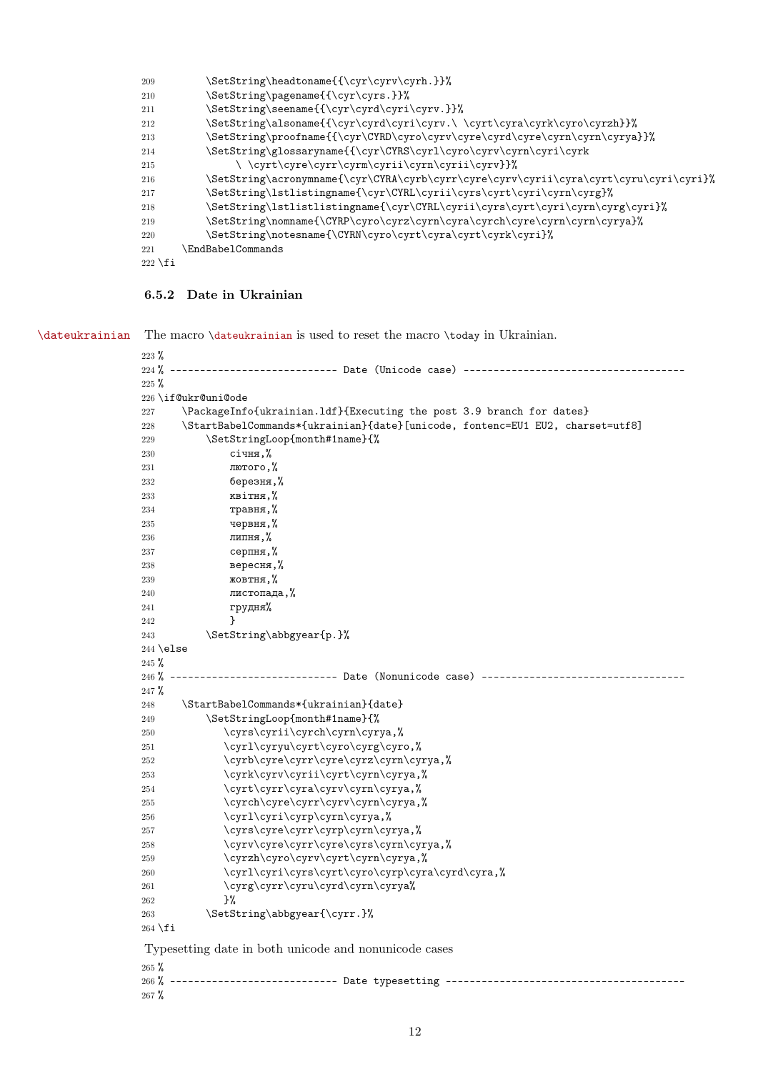| 209       | \SetString\headtoname{{\cyr\cyrv\cyrh.}}%                                            |
|-----------|--------------------------------------------------------------------------------------|
| 210       | \SetString\pagename{{\cyr\cyrs.}}%                                                   |
| 211       | \SetString\seename{{\cyr\cyrd\cyri\cyrv.}}%                                          |
| 212       | \SetString\alsoname{{\cyr\cyrd\cyri\cyrv.\ \cyrt\cyra\cyrk\cyro\cyrzh}}%             |
| 213       | \SetString\proofname{{\cyr\CYRD\cyro\cyrv\cyre\cyrd\cyre\cyrn\cyrya}}%               |
| 214       | \SetString\glossaryname{{\cyr\CYRS\cyrl\cyro\cyrv\cyrn\cyri\cyrk                     |
| 215       | \\cyrt\cyre\cyrr\cyrm\cyrii\cyrn\cyrii\cyrv}}%                                       |
| 216       | \SetString\acronymname{\cyr\CYRA\cyrb\cyrr\cyre\cyrv\cyri\cyra\cyrt\cyru\cyri\cyri}% |
| 217       | \SetString\lstlistingname{\cyr\CYRL\cyri\cyrs\cyrt\cyri\cyrn\cyrg}%                  |
| 218       | \SetString\lstlistlistingname{\cyr\CYRL\cyri\cyrs\cyrt\cyri\cyrn\cyrg\cyri}%         |
| 219       | \SetString\nomname{\CYRP\cyro\cyrz\cyrn\cyra\cyrch\cyre\cyrn\cyrn\cyrya}%            |
| 220       | \SetString\notesname{\CYRN\cyro\cyrt\cyra\cyrt\cyrk\cyri}%                           |
| 221       | <b>EndBabelCommands</b>                                                              |
| $222$ \fi |                                                                                      |

## <span id="page-11-0"></span>**6.5.2 Date in Ukrainian**

\dateukrainian The macro \dateukrainian is used to reset the macro \today in Ukrainian.

| $223 \%$    |                                                                                     |
|-------------|-------------------------------------------------------------------------------------|
| $224 \%$    |                                                                                     |
| $225 \%$    |                                                                                     |
|             | 226 \if@ukr@uni@ode                                                                 |
| 227         | \PackageInfo{ukrainian.1df}{Executing the post 3.9 branch for dates}                |
| 228         | \StartBabelCommands*{ukrainian}{date}[unicode, fontenc=EU1 EU2, charset=utf8]       |
| 229         | \SetStringLoop{month#1name}{%                                                       |
| 230         | січня,%                                                                             |
| 231         | лютого, %                                                                           |
| 232         | березня,%                                                                           |
| 233         | квітня,%                                                                            |
| 234         | травня, %                                                                           |
| 235         | червня, %                                                                           |
| 236         | липня,%                                                                             |
| 237         | серпня,%                                                                            |
| 238         | вересня,%                                                                           |
| 239         | жовтня, $%$                                                                         |
| 240         | листопада, %                                                                        |
| 241         | грудня%                                                                             |
| 242         | ł                                                                                   |
| 243         | \SetString\abbgyear{p.}%                                                            |
| $244$ \else |                                                                                     |
| $245 \%$    |                                                                                     |
| $246 \%$    | -----------------------    Date (Nonunicode case) -----------------------           |
| $247 \%$    |                                                                                     |
| 248         | \StartBabelCommands*{ukrainian}{date}                                               |
| 249         | \SetStringLoop{month#1name}{%                                                       |
| 250         | \cyrs\cyrii\cyrch\cyrn\cyrya,%                                                      |
| 251         | \cyrl\cyryu\cyrt\cyro\cyrg\cyro,%                                                   |
| 252         | \cyrb\cyre\cyrr\cyre\cyrz\cyrn\cyrya,%                                              |
| 253         | \cyrk\cyrv\cyrii\cyrt\cyrn\cyrya,%                                                  |
| 254         | \cyrt\cyrr\cyra\cyrv\cyrn\cyrya,%                                                   |
| 255         | \cyrch\cyre\cyrr\cyrv\cyrn\cyrya,%                                                  |
| 256         | \cyrl\cyri\cyrp\cyrn\cyrya,%                                                        |
| 257         | \cyrs\cyre\cyrr\cyrp\cyrn\cyrya,%                                                   |
| 258<br>259  | \cyrv\cyre\cyrr\cyre\cyrs\cyrn\cyrya,%                                              |
|             | \cyrzh\cyro\cyrv\cyrt\cyrn\cyrya,%                                                  |
| 260<br>261  | \cyrl\cyri\cyrs\cyrt\cyro\cyrp\cyra\cyrd\cyra,%<br>\cyrg\cyrr\cyru\cyrd\cyrn\cyrya% |
| 262         | }%                                                                                  |
| 263         | \SetString\abbgyear{\cyrr.}%                                                        |
| $264$ \fi   |                                                                                     |
|             |                                                                                     |
|             | Typesetting date in both unicode and nonunicode cases                               |
| $265 \%$    |                                                                                     |
|             | 266% --------------------------- Date typesetting ------------------------------    |
| $267 \%$    |                                                                                     |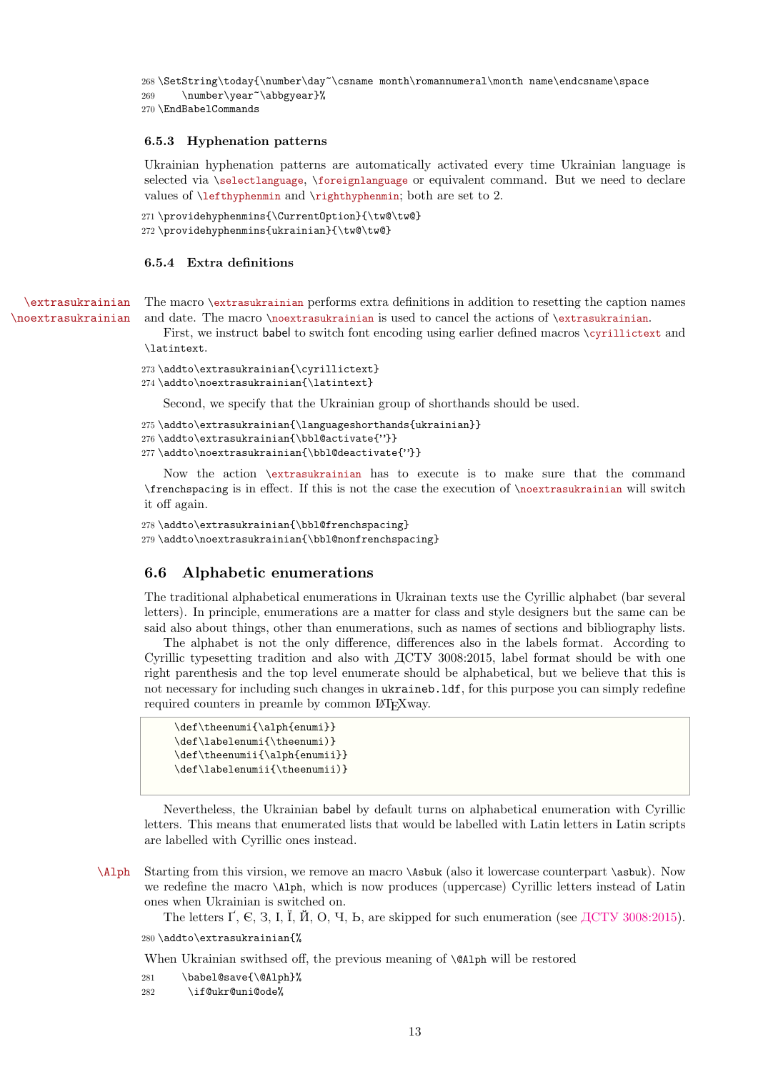```
268 \SetString\today{\number\day~\csname month\romannumeral\month name\endcsname\space
269 \number\year~\abbgyear}%
270 \EndBabelCommands
```
#### <span id="page-12-0"></span>**6.5.3 Hyphenation patterns**

Ukrainian hyphenation patterns are automatically activated every time Ukrainian language is selected via \selectlanguage, \foreignlanguage or equivalent command. But we need to declare values of \lefthyphenmin and \righthyphenmin; both are set to 2.

```
271 \providehyphenmins{\CurrentOption}{\tw@\tw@}
272 \providehyphenmins{ukrainian}{\tw@\tw@}
```
#### <span id="page-12-1"></span>**6.5.4 Extra definitions**

\extrasukrainian The macro \extrasukrainian performs extra definitions in addition to resetting the caption names \noextrasukrainian and date. The macro \noextrasukrainian is used to cancel the actions of \extrasukrainian.

> First, we instruct babel to switch font encoding using earlier defined macros \cyrillictext and \latintext.

```
273 \addto\extrasukrainian{\cyrillictext}
```
274 \addto\noextrasukrainian{\latintext}

Second, we specify that the Ukrainian group of shorthands should be used.

```
275 \addto\extrasukrainian{\languageshorthands{ukrainian}}
```
276 \addto\extrasukrainian{\bbl@activate{"}}

```
277\addto\noextrasukrainian{\bbl@deactivate{"}}
```
Now the action \extrasukrainian has to execute is to make sure that the command \frenchspacing is in effect. If this is not the case the execution of \noextrasukrainian will switch it off again.

```
278 \addto\extrasukrainian{\bbl@frenchspacing}
279 \addto\noextrasukrainian{\bbl@nonfrenchspacing}
```
#### <span id="page-12-2"></span>**6.6 Alphabetic enumerations**

The traditional alphabetical enumerations in Ukrainan texts use the Cyrillic alphabet (bar several letters). In principle, enumerations are a matter for class and style designers but the same can be said also about things, other than enumerations, such as names of sections and bibliography lists.

The alphabet is not the only difference, differences also in the labels format. According to Cyrillic typesetting tradition and also with ДСТУ 3008:2015, label format should be with one right parenthesis and the top level enumerate should be alphabetical, but we believe that this is not necessary for including such changes in ukraineb.ldf, for this purpose you can simply redefine required counters in preamle by common LAT<sub>EX</sub> way.

```
\def\theenumi{\alph{enumi}}
\def\labelenumi{\theenumi)}
\def\theenumii{\alph{enumii}}
\def\labelenumii{\theenumii)}
```
Nevertheless, the Ukrainian babel by default turns on alphabetical enumeration with Cyrillic letters. This means that enumerated lists that would be labelled with Latin letters in Latin scripts are labelled with Cyrillic ones instead.

\Alph Starting from this virsion, we remove an macro \Asbuk (also it lowercase counterpart \asbuk). Now we redefine the macro \Alph, which is now produces (uppercase) Cyrillic letters instead of Latin ones when Ukrainian is switched on.

The letters  $\Gamma$ , C, 3, I, I,  $\tilde{\Pi}$ , O, 4, b, are skipped for such enumeration (see  $\tilde{\Pi}$  ACTY 3008:2015).

#### 280 \addto\extrasukrainian{%

When Ukrainian swithsed off, the previous meaning of **\@Alph** will be restored

```
281 \babel@save{\@Alph}%
```
282 \if@ukr@uni@ode%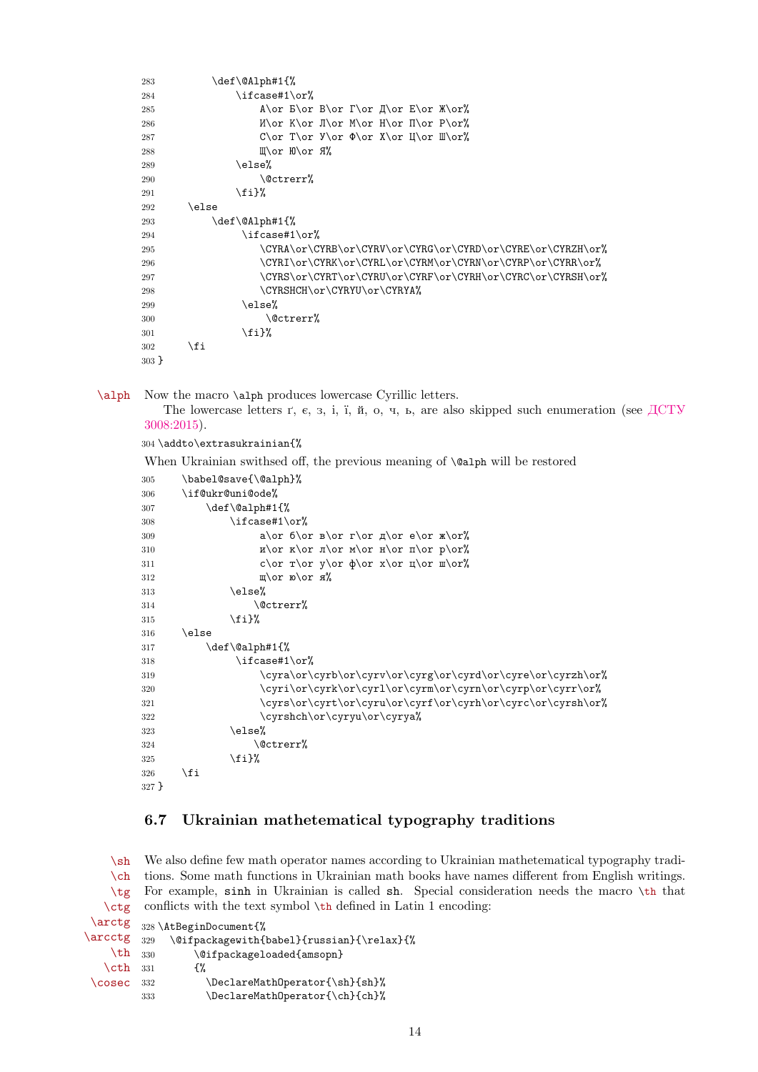| 283     | \def\@Alph#1{%                                                                       |
|---------|--------------------------------------------------------------------------------------|
| 284     | $\iota$ ifcase#1 $\or$ %                                                             |
| 285     | A\or $E\or B\or T\or A\or E\or W\or$                                                 |
| 286     | $M\or K\or J\or M\or H\or I\or P\or$                                                 |
| 287     | C\or T\or Y\or $\Phi$ \or X\or U\or W\or%                                            |
| 288     | $\mathbb{I}\backslash$ or $\mathbb{H}\backslash$ or $\mathbb{R}\backslash\mathbb{C}$ |
| 289     | \else%                                                                               |
| 290     | \@ctrerr%                                                                            |
| 291     | \fi}%                                                                                |
| 292     | \else                                                                                |
| 293     | \def\@Alph#1{%                                                                       |
| 294     | \ifcase#1\or%                                                                        |
| 295     | \CYRA\or\CYRB\or\CYRV\or\CYRG\or\CYRD\or\CYRE\or\CYRZH\or%                           |
| 296     | \CYRI\or\CYRK\or\CYRL\or\CYRM\or\CYRN\or\CYRP\or\CYRR\or%                            |
| 297     | \CYRS\or\CYRT\or\CYRU\or\CYRF\or\CYRH\or\CYRC\or\CYRSH\or%                           |
| 298     | \CYRSHCH\or\CYRYU\or\CYRYA%                                                          |
| 299     | \else%                                                                               |
| 300     | \@ctrerr%                                                                            |
| 301     | $\mathcal{L}$ i}%                                                                    |
| 302     | \fi                                                                                  |
| $303$ } |                                                                                      |

\alph Now the macro \alph produces lowercase Cyrillic letters.

The lowercase letters ґ, є, з, і, ї, й, о, ч, ь, are also skipped such enumeration (see [ДСТУ](http://www.uintei.kiev.ua/readarticle.php?article_id=151) [3008:2015\)](http://www.uintei.kiev.ua/readarticle.php?article_id=151).

\addto\extrasukrainian{%

When Ukrainian swithsed off, the previous meaning of \@alph will be restored

| 305   | \babel@save{\@alph}%                                        |
|-------|-------------------------------------------------------------|
| 306   | \if@ukr@uni@ode%                                            |
| 307   | \def\@alph#1{%                                              |
| 308   | $\iota$ ifcase#1 $\or$ %                                    |
| 309   | a\or $6\or$ B\or r\or $\pi$ \or e\or $\pi$ \or%             |
| 310   | $\pi\or \pi\or \pi\or \pi\or \pi\or \pi\or \pi\or \pi$      |
| 311   | c\or $\gamma$ \or y\or $\phi$ \or x\or $\mu$ \or $\mu$ \or% |
| 312   | $\mathbb{L}\backslash$ or ю $\backslash$ or я%              |
| 313   | \else%                                                      |
| 314   | \@ctrerr%                                                   |
| 315   | $\{f_i\}$ %                                                 |
| 316   | \else                                                       |
| 317   | \def\@alph#1{%                                              |
| 318   | $\iota$ ifcase#1 $\iota$ or%                                |
| 319   | \cyra\or\cyrb\or\cyrv\or\cyrg\or\cyrd\or\cyre\or\cyrzh\or%  |
| 320   | \cyri\or\cyrk\or\cyr1\or\cyrm\or\cyrn\or\cyrp\or\cyrr\or%   |
| 321   | \cyrs\or\cyrt\or\cyru\or\cyrf\or\cyrh\or\cyrc\or\cyrsh\or%  |
| 322   | \cyrshch\or\cyryu\or\cyrya%                                 |
| 323   | \else%                                                      |
| 324   | \@ctrerr%                                                   |
| 325   | $\mathcal{L}$ i}%                                           |
| 326   | \fi                                                         |
| 327 } |                                                             |

### <span id="page-13-0"></span>**6.7 Ukrainian mathetematical typography traditions**

 $\mathbf{h}$  $\cosh$ \tg \ctg \arctg 328 \AtBeginDocument{%  $\arcctg$   $_{329}$  $\th$  330 We also define few math operator names according to Ukrainian mathetematical typography tradi tions. Some math functions in Ukrainian math books have names different from English writings. For example, sinh in Ukrainian is called sh. Special consideration needs the macro \th that conflicts with the text symbol \th defined in Latin 1 encoding: \@ifpackagewith{babel}{russian}{\relax}{% \@ifpackageloaded{amsopn}

| $\text{Cth}$ 331   |     | {%                             |
|--------------------|-----|--------------------------------|
| $\text{Cosec}$ 332 |     | \DeclareMathOperator{\sh}{sh}% |
|                    | 333 | \DeclareMathOperator{\ch}{ch}% |